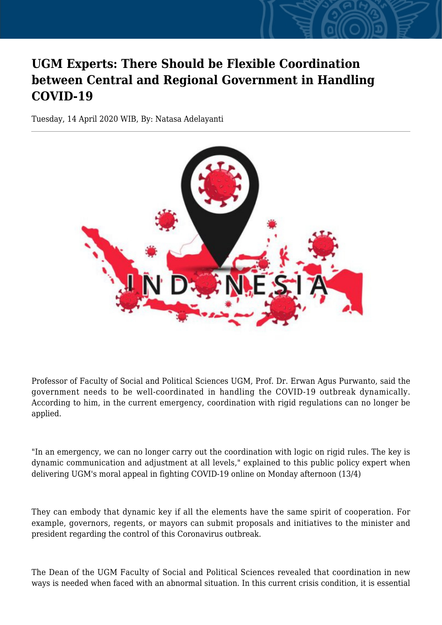## **UGM Experts: There Should be Flexible Coordination between Central and Regional Government in Handling COVID-19**

Tuesday, 14 April 2020 WIB, By: Natasa Adelayanti



Professor of Faculty of Social and Political Sciences UGM, Prof. Dr. Erwan Agus Purwanto, said the government needs to be well-coordinated in handling the COVID-19 outbreak dynamically. According to him, in the current emergency, coordination with rigid regulations can no longer be applied.

"In an emergency, we can no longer carry out the coordination with logic on rigid rules. The key is dynamic communication and adjustment at all levels," explained to this public policy expert when delivering UGM's moral appeal in fighting COVID-19 online on Monday afternoon (13/4)

They can embody that dynamic key if all the elements have the same spirit of cooperation. For example, governors, regents, or mayors can submit proposals and initiatives to the minister and president regarding the control of this Coronavirus outbreak.

The Dean of the UGM Faculty of Social and Political Sciences revealed that coordination in new ways is needed when faced with an abnormal situation. In this current crisis condition, it is essential